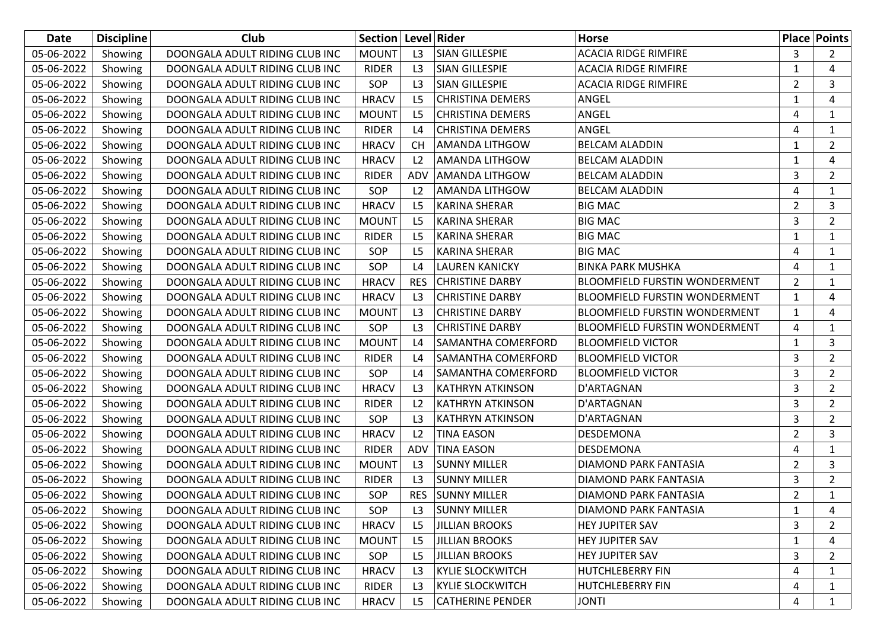| Date       | <b>Discipline</b> | Club                           | Section   Level   Rider |                |                           | <b>Horse</b>                         |                | <b>Place Points</b> |
|------------|-------------------|--------------------------------|-------------------------|----------------|---------------------------|--------------------------------------|----------------|---------------------|
| 05-06-2022 | Showing           | DOONGALA ADULT RIDING CLUB INC | <b>MOUNT</b>            | L <sub>3</sub> | <b>SIAN GILLESPIE</b>     | <b>ACACIA RIDGE RIMFIRE</b>          | 3              | $\mathbf{2}$        |
| 05-06-2022 | Showing           | DOONGALA ADULT RIDING CLUB INC | <b>RIDER</b>            | L3             | <b>SIAN GILLESPIE</b>     | <b>ACACIA RIDGE RIMFIRE</b>          | 1              | 4                   |
| 05-06-2022 | Showing           | DOONGALA ADULT RIDING CLUB INC | <b>SOP</b>              | L <sub>3</sub> | <b>SIAN GILLESPIE</b>     | <b>ACACIA RIDGE RIMFIRE</b>          | $\overline{2}$ | 3                   |
| 05-06-2022 | Showing           | DOONGALA ADULT RIDING CLUB INC | <b>HRACV</b>            | L5             | <b>CHRISTINA DEMERS</b>   | ANGEL                                | 1              | 4                   |
| 05-06-2022 | Showing           | DOONGALA ADULT RIDING CLUB INC | <b>MOUNT</b>            | L <sub>5</sub> | <b>CHRISTINA DEMERS</b>   | ANGEL                                | 4              | 1                   |
| 05-06-2022 | Showing           | DOONGALA ADULT RIDING CLUB INC | <b>RIDER</b>            | L4             | <b>CHRISTINA DEMERS</b>   | ANGEL                                | 4              | $\mathbf{1}$        |
| 05-06-2022 | Showing           | DOONGALA ADULT RIDING CLUB INC | <b>HRACV</b>            | <b>CH</b>      | <b>AMANDA LITHGOW</b>     | <b>BELCAM ALADDIN</b>                | 1              | $\overline{2}$      |
| 05-06-2022 | Showing           | DOONGALA ADULT RIDING CLUB INC | <b>HRACV</b>            | L <sub>2</sub> | <b>AMANDA LITHGOW</b>     | <b>BELCAM ALADDIN</b>                | 1              | 4                   |
| 05-06-2022 | Showing           | DOONGALA ADULT RIDING CLUB INC | <b>RIDER</b>            | ADV            | <b>AMANDA LITHGOW</b>     | <b>BELCAM ALADDIN</b>                | 3              | $\overline{2}$      |
| 05-06-2022 | Showing           | DOONGALA ADULT RIDING CLUB INC | SOP                     | L <sub>2</sub> | AMANDA LITHGOW            | <b>BELCAM ALADDIN</b>                | 4              | $\mathbf{1}$        |
| 05-06-2022 | Showing           | DOONGALA ADULT RIDING CLUB INC | <b>HRACV</b>            | L <sub>5</sub> | <b>KARINA SHERAR</b>      | <b>BIG MAC</b>                       | $\overline{2}$ | 3                   |
| 05-06-2022 | Showing           | DOONGALA ADULT RIDING CLUB INC | <b>MOUNT</b>            | L <sub>5</sub> | <b>KARINA SHERAR</b>      | <b>BIG MAC</b>                       | 3              | $\overline{2}$      |
| 05-06-2022 | Showing           | DOONGALA ADULT RIDING CLUB INC | <b>RIDER</b>            | L <sub>5</sub> | <b>KARINA SHERAR</b>      | <b>BIG MAC</b>                       | 1              | $\mathbf{1}$        |
| 05-06-2022 | Showing           | DOONGALA ADULT RIDING CLUB INC | SOP                     | L5             | <b>KARINA SHERAR</b>      | <b>BIG MAC</b>                       | 4              | $\mathbf{1}$        |
| 05-06-2022 | Showing           | DOONGALA ADULT RIDING CLUB INC | SOP                     | L4             | <b>LAUREN KANICKY</b>     | <b>BINKA PARK MUSHKA</b>             | 4              | 1                   |
| 05-06-2022 | Showing           | DOONGALA ADULT RIDING CLUB INC | <b>HRACV</b>            | <b>RES</b>     | <b>CHRISTINE DARBY</b>    | <b>BLOOMFIELD FURSTIN WONDERMENT</b> | $\overline{2}$ | $\mathbf{1}$        |
| 05-06-2022 | Showing           | DOONGALA ADULT RIDING CLUB INC | <b>HRACV</b>            | L3             | <b>CHRISTINE DARBY</b>    | <b>BLOOMFIELD FURSTIN WONDERMENT</b> | 1              | 4                   |
| 05-06-2022 | Showing           | DOONGALA ADULT RIDING CLUB INC | <b>MOUNT</b>            | L <sub>3</sub> | <b>CHRISTINE DARBY</b>    | <b>BLOOMFIELD FURSTIN WONDERMENT</b> | 1              | 4                   |
| 05-06-2022 | Showing           | DOONGALA ADULT RIDING CLUB INC | SOP                     | L <sub>3</sub> | <b>CHRISTINE DARBY</b>    | <b>BLOOMFIELD FURSTIN WONDERMENT</b> | 4              | $\mathbf{1}$        |
| 05-06-2022 | Showing           | DOONGALA ADULT RIDING CLUB INC | <b>MOUNT</b>            | L4             | <b>SAMANTHA COMERFORD</b> | <b>BLOOMFIELD VICTOR</b>             | 1              | 3                   |
| 05-06-2022 | Showing           | DOONGALA ADULT RIDING CLUB INC | <b>RIDER</b>            | L4             | <b>SAMANTHA COMERFORD</b> | <b>BLOOMFIELD VICTOR</b>             | 3              | $\overline{2}$      |
| 05-06-2022 | Showing           | DOONGALA ADULT RIDING CLUB INC | SOP                     | L4             | SAMANTHA COMERFORD        | <b>BLOOMFIELD VICTOR</b>             | 3              | $\overline{2}$      |
| 05-06-2022 | Showing           | DOONGALA ADULT RIDING CLUB INC | <b>HRACV</b>            | L <sub>3</sub> | <b>KATHRYN ATKINSON</b>   | D'ARTAGNAN                           | 3              | $\overline{2}$      |
| 05-06-2022 | Showing           | DOONGALA ADULT RIDING CLUB INC | <b>RIDER</b>            | L <sub>2</sub> | <b>KATHRYN ATKINSON</b>   | D'ARTAGNAN                           | 3              | $\overline{2}$      |
| 05-06-2022 | Showing           | DOONGALA ADULT RIDING CLUB INC | SOP                     | L3             | KATHRYN ATKINSON          | D'ARTAGNAN                           | 3              | $\mathbf{2}$        |
| 05-06-2022 | Showing           | DOONGALA ADULT RIDING CLUB INC | <b>HRACV</b>            | L <sub>2</sub> | <b>TINA EASON</b>         | DESDEMONA                            | $\overline{2}$ | 3                   |
| 05-06-2022 | Showing           | DOONGALA ADULT RIDING CLUB INC | <b>RIDER</b>            | ADV            | <b>TINA EASON</b>         | DESDEMONA                            | 4              | $\mathbf{1}$        |
| 05-06-2022 | Showing           | DOONGALA ADULT RIDING CLUB INC | <b>MOUNT</b>            | L <sub>3</sub> | <b>SUNNY MILLER</b>       | DIAMOND PARK FANTASIA                | $\overline{2}$ | 3                   |
| 05-06-2022 | Showing           | DOONGALA ADULT RIDING CLUB INC | <b>RIDER</b>            | L3             | <b>SUNNY MILLER</b>       | DIAMOND PARK FANTASIA                | 3              | $\overline{2}$      |
| 05-06-2022 | Showing           | DOONGALA ADULT RIDING CLUB INC | SOP                     | <b>RES</b>     | <b>SUNNY MILLER</b>       | DIAMOND PARK FANTASIA                | 2              | $\mathbf{1}$        |
| 05-06-2022 | Showing           | DOONGALA ADULT RIDING CLUB INC | SOP                     | L <sub>3</sub> | <b>SUNNY MILLER</b>       | DIAMOND PARK FANTASIA                | 1              | 4                   |
| 05-06-2022 | Showing           | DOONGALA ADULT RIDING CLUB INC | <b>HRACV</b>            | L <sub>5</sub> | <b>JILLIAN BROOKS</b>     | HEY JUPITER SAV                      | 3              | 2                   |
| 05-06-2022 | Showing           | DOONGALA ADULT RIDING CLUB INC | <b>MOUNT</b>            | L <sub>5</sub> | <b>JILLIAN BROOKS</b>     | HEY JUPITER SAV                      | 1              | 4                   |
| 05-06-2022 | Showing           | DOONGALA ADULT RIDING CLUB INC | SOP                     | L <sub>5</sub> | <b>JILLIAN BROOKS</b>     | HEY JUPITER SAV                      | 3              | 2                   |
| 05-06-2022 | Showing           | DOONGALA ADULT RIDING CLUB INC | <b>HRACV</b>            | L <sub>3</sub> | <b>KYLIE SLOCKWITCH</b>   | HUTCHLEBERRY FIN                     | 4              | 1                   |
| 05-06-2022 | Showing           | DOONGALA ADULT RIDING CLUB INC | RIDER                   | L <sub>3</sub> | <b>KYLIE SLOCKWITCH</b>   | <b>HUTCHLEBERRY FIN</b>              | 4              | 1                   |
| 05-06-2022 | Showing           | DOONGALA ADULT RIDING CLUB INC | <b>HRACV</b>            | L <sub>5</sub> | <b>CATHERINE PENDER</b>   | <b>JONTI</b>                         | 4              | $\mathbf{1}$        |